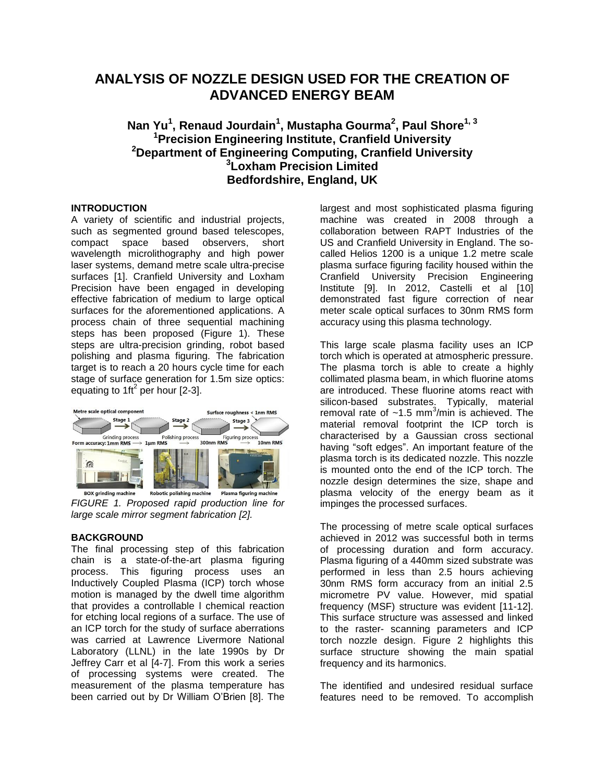# **ANALYSIS OF NOZZLE DESIGN USED FOR THE CREATION OF ADVANCED ENERGY BEAM**

## **Nan Yu<sup>1</sup> , Renaud Jourdain<sup>1</sup> , Mustapha Gourma<sup>2</sup> , Paul Shore1, 3 <sup>1</sup>Precision Engineering Institute, Cranfield University <sup>2</sup>Department of Engineering Computing, Cranfield University 3 Loxham Precision Limited Bedfordshire, England, UK**

### **INTRODUCTION**

A variety of scientific and industrial projects, such as segmented ground based telescopes, compact space based observers, short wavelength microlithography and high power laser systems, demand metre scale ultra-precise surfaces [1]. Cranfield University and Loxham Precision have been engaged in developing effective fabrication of medium to large optical surfaces for the aforementioned applications. A process chain of three sequential machining steps has been proposed (Figure 1). These steps are ultra-precision grinding, robot based polishing and plasma figuring. The fabrication target is to reach a 20 hours cycle time for each stage of surface generation for 1.5m size optics: equating to 1ft<sup>2</sup> per hour [2-3].



**BOX grinding machine** *FIGURE 1. Proposed rapid production line for large scale mirror segment fabrication [2].*

## **BACKGROUND**

The final processing step of this fabrication chain is a state-of-the-art plasma figuring process. This figuring process uses an Inductively Coupled Plasma (ICP) torch whose motion is managed by the dwell time algorithm that provides a controllable l chemical reaction for etching local regions of a surface. The use of an ICP torch for the study of surface aberrations was carried at Lawrence Livermore National Laboratory (LLNL) in the late 1990s by Dr Jeffrey Carr et al [4-7]. From this work a series of processing systems were created. The measurement of the plasma temperature has been carried out by Dr William O'Brien [8]. The

largest and most sophisticated plasma figuring machine was created in 2008 through a collaboration between RAPT Industries of the US and Cranfield University in England. The socalled Helios 1200 is a unique 1.2 metre scale plasma surface figuring facility housed within the Cranfield University Precision Engineering Institute [9]. In 2012, Castelli et al [10] demonstrated fast figure correction of near meter scale optical surfaces to 30nm RMS form accuracy using this plasma technology.

This large scale plasma facility uses an ICP torch which is operated at atmospheric pressure. The plasma torch is able to create a highly collimated plasma beam, in which fluorine atoms are introduced. These fluorine atoms react with silicon-based substrates. Typically, material removal rate of  $~1.5~$  mm<sup>3</sup>/min is achieved. The material removal footprint the ICP torch is characterised by a Gaussian cross sectional having "soft edges". An important feature of the plasma torch is its dedicated nozzle. This nozzle is mounted onto the end of the ICP torch. The nozzle design determines the size, shape and plasma velocity of the energy beam as it impinges the processed surfaces.

The processing of metre scale optical surfaces achieved in 2012 was successful both in terms of processing duration and form accuracy. Plasma figuring of a 440mm sized substrate was performed in less than 2.5 hours achieving 30nm RMS form accuracy from an initial 2.5 micrometre PV value. However, mid spatial frequency (MSF) structure was evident [11-12]. This surface structure was assessed and linked to the raster- scanning parameters and ICP torch nozzle design. Figure 2 highlights this surface structure showing the main spatial frequency and its harmonics.

The identified and undesired residual surface features need to be removed. To accomplish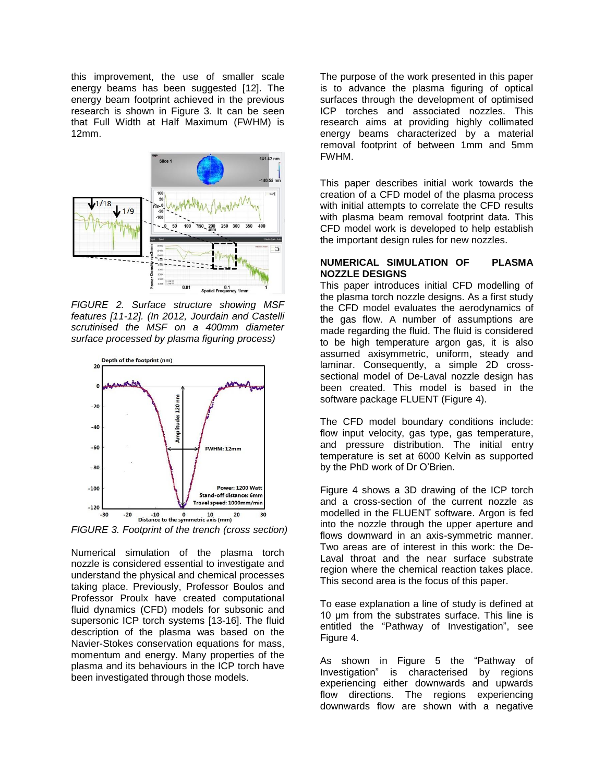this improvement, the use of smaller scale energy beams has been suggested [12]. The energy beam footprint achieved in the previous research is shown in Figure 3. It can be seen that Full Width at Half Maximum (FWHM) is 12mm.



*FIGURE 2. Surface structure showing MSF features [11-12]. (In 2012, Jourdain and Castelli scrutinised the MSF on a 400mm diameter surface processed by plasma figuring process)*



*FIGURE 3. Footprint of the trench (cross section)*

Numerical simulation of the plasma torch nozzle is considered essential to investigate and understand the physical and chemical processes taking place. Previously, Professor Boulos and Professor Proulx have created computational fluid dynamics (CFD) models for subsonic and supersonic ICP torch systems [13-16]. The fluid description of the plasma was based on the Navier-Stokes conservation equations for mass, momentum and energy. Many properties of the plasma and its behaviours in the ICP torch have been investigated through those models.

The purpose of the work presented in this paper is to advance the plasma figuring of optical surfaces through the development of optimised ICP torches and associated nozzles. This research aims at providing highly collimated energy beams characterized by a material removal footprint of between 1mm and 5mm FWHM.

This paper describes initial work towards the creation of a CFD model of the plasma process with initial attempts to correlate the CFD results with plasma beam removal footprint data. This CFD model work is developed to help establish the important design rules for new nozzles.

#### **NUMERICAL SIMULATION OF PLASMA NOZZLE DESIGNS**

This paper introduces initial CFD modelling of the plasma torch nozzle designs. As a first study the CFD model evaluates the aerodynamics of the gas flow. A number of assumptions are made regarding the fluid. The fluid is considered to be high temperature argon gas, it is also assumed axisymmetric, uniform, steady and laminar. Consequently, a simple 2D crosssectional model of De-Laval nozzle design has been created. This model is based in the software package FLUENT (Figure 4).

The CFD model boundary conditions include: flow input velocity, gas type, gas temperature, and pressure distribution. The initial entry temperature is set at 6000 Kelvin as supported by the PhD work of Dr O'Brien.

Figure 4 shows a 3D drawing of the ICP torch and a cross-section of the current nozzle as modelled in the FLUENT software. Argon is fed into the nozzle through the upper aperture and flows downward in an axis-symmetric manner. Two areas are of interest in this work: the De-Laval throat and the near surface substrate region where the chemical reaction takes place. This second area is the focus of this paper.

To ease explanation a line of study is defined at 10 μm from the substrates surface. This line is entitled the "Pathway of Investigation", see Figure 4.

As shown in Figure 5 the "Pathway of Investigation" is characterised by regions experiencing either downwards and upwards flow directions. The regions experiencing downwards flow are shown with a negative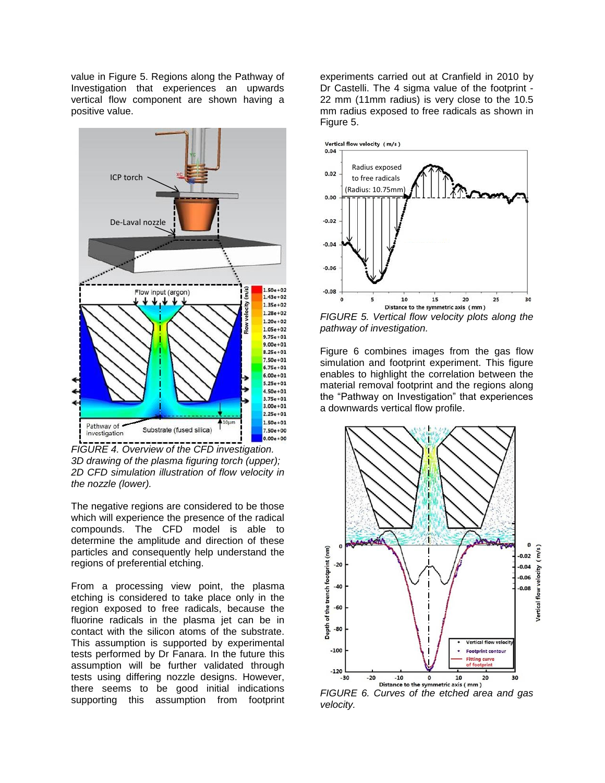value in Figure 5. Regions along the Pathway of Investigation that experiences an upwards vertical flow component are shown having a positive value.



*FIGURE 4. Overview of the CFD investigation. 3D drawing of the plasma figuring torch (upper); 2D CFD simulation illustration of flow velocity in the nozzle (lower).*

The negative regions are considered to be those which will experience the presence of the radical compounds. The CFD model is able to determine the amplitude and direction of these particles and consequently help understand the regions of preferential etching.

From a processing view point, the plasma etching is considered to take place only in the region exposed to free radicals, because the fluorine radicals in the plasma jet can be in contact with the silicon atoms of the substrate. This assumption is supported by experimental tests performed by Dr Fanara. In the future this assumption will be further validated through tests using differing nozzle designs. However, there seems to be good initial indications supporting this assumption from footprint

experiments carried out at Cranfield in 2010 by Dr Castelli. The 4 sigma value of the footprint - 22 mm (11mm radius) is very close to the 10.5 mm radius exposed to free radicals as shown in Figure 5.



*FIGURE 5. Vertical flow velocity plots along the pathway of investigation.*

Figure 6 combines images from the gas flow simulation and footprint experiment. This figure enables to highlight the correlation between the material removal footprint and the regions along the "Pathway on Investigation" that experiences a downwards vertical flow profile.



*FIGURE 6. Curves of the etched area and gas velocity.*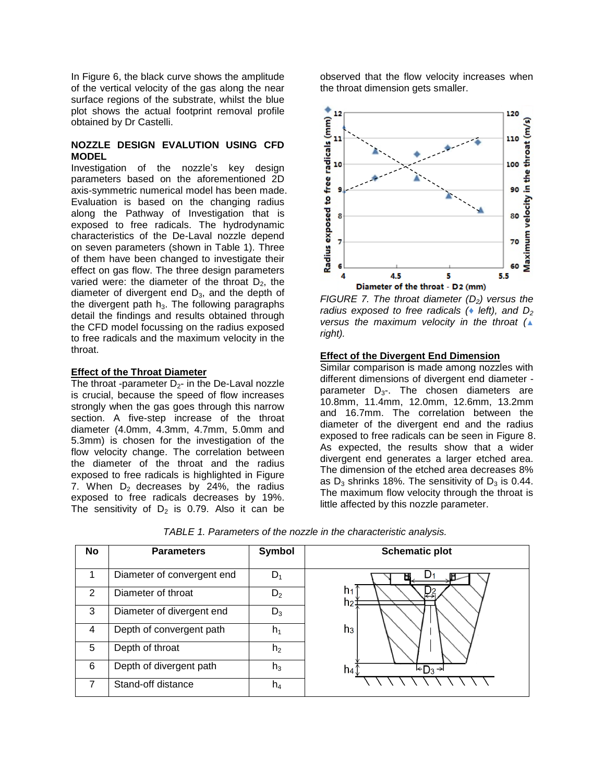In Figure 6, the black curve shows the amplitude of the vertical velocity of the gas along the near surface regions of the substrate, whilst the blue plot shows the actual footprint removal profile obtained by Dr Castelli.

### **NOZZLE DESIGN EVALUTION USING CFD MODEL**

Investigation of the nozzle's key design parameters based on the aforementioned 2D axis-symmetric numerical model has been made. Evaluation is based on the changing radius along the Pathway of Investigation that is exposed to free radicals. The hydrodynamic characteristics of the De-Laval nozzle depend on seven parameters (shown in Table 1). Three of them have been changed to investigate their effect on gas flow. The three design parameters varied were: the diameter of the throat  $D_2$ , the diameter of divergent end  $D_3$ , and the depth of the divergent path  $h_3$ . The following paragraphs detail the findings and results obtained through the CFD model focussing on the radius exposed to free radicals and the maximum velocity in the throat.

### **Effect of the Throat Diameter**

The throat -parameter  $D_2$ - in the De-Laval nozzle is crucial, because the speed of flow increases strongly when the gas goes through this narrow section. A five-step increase of the throat diameter (4.0mm, 4.3mm, 4.7mm, 5.0mm and 5.3mm) is chosen for the investigation of the flow velocity change. The correlation between the diameter of the throat and the radius exposed to free radicals is highlighted in Figure 7. When  $D_2$  decreases by 24%, the radius exposed to free radicals decreases by 19%. The sensitivity of  $D_2$  is 0.79. Also it can be

observed that the flow velocity increases when the throat dimension gets smaller.



*FIGURE 7. The throat diameter (D2) versus the radius exposed to free radicals (*♦ *left), and D<sup>2</sup> versus the maximum velocity in the throat (*▲ *right).*

#### **Effect of the Divergent End Dimension**

Similar comparison is made among nozzles with different dimensions of divergent end diameter parameter  $D_{3}$ -. The chosen diameters are 10.8mm, 11.4mm, 12.0mm, 12.6mm, 13.2mm and 16.7mm. The correlation between the diameter of the divergent end and the radius exposed to free radicals can be seen in Figure 8. As expected, the results show that a wider divergent end generates a larger etched area. The dimension of the etched area decreases 8% as  $D_3$  shrinks 18%. The sensitivity of  $D_3$  is 0.44. The maximum flow velocity through the throat is little affected by this nozzle parameter.

| No | <b>Parameters</b>          | Symbol         | <b>Schematic plot</b>            |
|----|----------------------------|----------------|----------------------------------|
| 1  | Diameter of convergent end | $D_1$          |                                  |
| 2  | Diameter of throat         | $D_2$          | h٠<br>₹₹<br>h2<br>h <sub>3</sub> |
| 3  | Diameter of divergent end  | $D_3$          |                                  |
| 4  | Depth of convergent path   | h,             |                                  |
| 5  | Depth of throat            | h <sub>2</sub> |                                  |
| 6  | Depth of divergent path    | $h_3$          | $kD_3 \rightarrow$<br>h4         |
| 7  | Stand-off distance         | $h_4$          |                                  |

*TABLE 1. Parameters of the nozzle in the characteristic analysis.*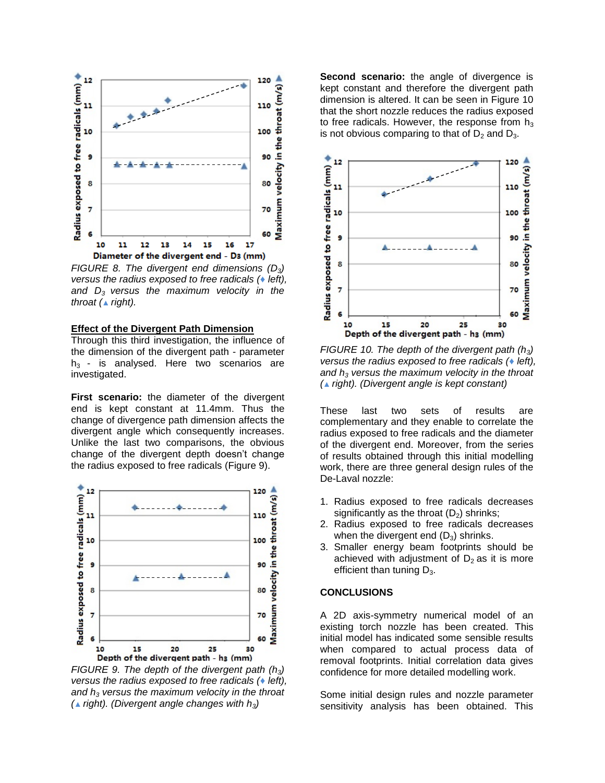

*FIGURE 8. The divergent end dimensions (D3) versus the radius exposed to free radicals (♦ left), and D<sup>3</sup> versus the maximum velocity in the throat (▲ right).*

#### **Effect of the Divergent Path Dimension**

Through this third investigation, the influence of the dimension of the divergent path - parameter  $h_3$  - is analysed. Here two scenarios are investigated.

**First scenario:** the diameter of the divergent end is kept constant at 11.4mm. Thus the change of divergence path dimension affects the divergent angle which consequently increases. Unlike the last two comparisons, the obvious change of the divergent depth doesn't change the radius exposed to free radicals (Figure 9).



*FIGURE 9. The depth of the divergent path (h3) versus the radius exposed to free radicals (♦ left), and h<sup>3</sup> versus the maximum velocity in the throat (▲ right). (Divergent angle changes with h3)*

**Second scenario:** the angle of divergence is kept constant and therefore the divergent path dimension is altered. It can be seen in Figure 10 that the short nozzle reduces the radius exposed to free radicals. However, the response from  $h_3$ is not obvious comparing to that of  $D_2$  and  $D_3$ .



*FIGURE 10. The depth of the divergent path (h3) versus the radius exposed to free radicals (♦ left), and h<sup>3</sup> versus the maximum velocity in the throat (▲ right). (Divergent angle is kept constant)*

These last two sets of results are complementary and they enable to correlate the radius exposed to free radicals and the diameter of the divergent end. Moreover, from the series of results obtained through this initial modelling work, there are three general design rules of the De-Laval nozzle:

- 1. Radius exposed to free radicals decreases significantly as the throat  $(D_2)$  shrinks;
- 2. Radius exposed to free radicals decreases when the divergent end  $(D_3)$  shrinks.
- 3. Smaller energy beam footprints should be achieved with adjustment of  $D<sub>2</sub>$  as it is more efficient than tuning  $D_3$ .

#### **CONCLUSIONS**

A 2D axis-symmetry numerical model of an existing torch nozzle has been created. This initial model has indicated some sensible results when compared to actual process data of removal footprints. Initial correlation data gives confidence for more detailed modelling work.

Some initial design rules and nozzle parameter sensitivity analysis has been obtained. This